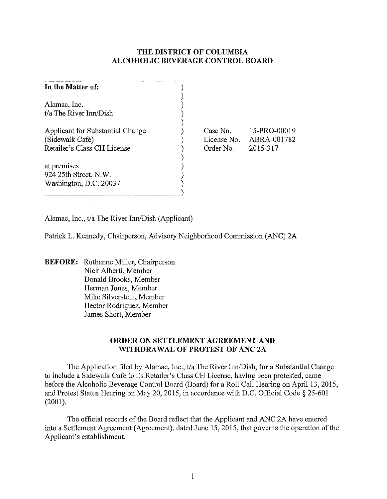# **THE DISTRICT OF COLUMBIA ALCOHOLIC BEVERAGE CONTROL BOARD**

| In the Matter of:                |  |
|----------------------------------|--|
|                                  |  |
| Alamac, Inc.                     |  |
| t/a The River Inn/Dish           |  |
|                                  |  |
| Applicant for Substantial Change |  |
| (Sidewalk Café)                  |  |
| Retailer's Class CH License      |  |
|                                  |  |
| at premises                      |  |
| 924 25th Street, N.W.            |  |
| Washington, D.C. 20037           |  |
|                                  |  |

Case No. License No. Order No. 15-PRO-00019 ABRA-001782 2015-317

Alamac, Inc., t/a The River Inn/Dish (Applicant)

Patrick 1. Kennedy, Chairperson, Advisory Neighborhood Commission (ANC) 2A

**BEFORE:** Ruthanne Miller, Chairperson Nick Alberti, Member Donald Brooks, Member Herman Jones, Member Mike Silverstein, Member Hector Rodriguez, Member James Short, Member

# **ORDER ON SETTLEMENT AGREEMENT AND WITHDRAWAL OF PROTEST OF ANC 2A**

The Application filed by Alamac, Inc., t/a The River Inn/Dish, for a Substantial Change to include a Sidewalk Café to its Retailer's Class CH License, having been protested, came before the Alcoholic Beverage Control Board (Board) for a Roll Call Hearing on April 13, 2015, and Protest Status Hearing on May 20, 2015, in accordance with D.C. Official Code  $\S 25-601$ (2001).

The official records of the Board reflect that the Applicant and ANC 2A have entered into a Settlement Agreement (Agreement), dated June 15,2015, that governs the operation of the Applicant's establishment.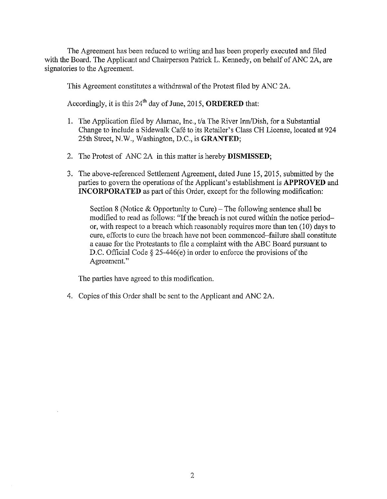The Agreement has been reduced to writing and has been properly executed and filed with the Board. The Applicant and Chairperson Patrick L. Kennedy, on behalf of ANC *2A,* are signatories to the Agreement.

This Agreement constitutes a withdrawal of the Protest filed by ANC 2A.

Accordingly, it is this 24th day of June, 2015, **ORDERED** that:

- 1. The Application filed by Alamac, Inc., t/a The River Inn/Dish, for a Substantial Change to include a Sidewalk Cafe to its Retailer's Class CH License, located at 924 25th Street, N.W., Washington, D.C., is **GRANTED;**
- 2. The Protest of ANC 2A in this matter is hereby **DISMISSED;**
- 3. The above-referenced Settlement Agreement, dated June 15,2015, submitted by the parties to govern the operations of the Applicant's establishment is **APPROVED** and **INCORPORATED** as part of this Order, except for the following modification:

Section 8 (Notice  $\&$  Opportunity to Cure) – The following sentence shall be modified to read as follows: "If the breach is not cured within the notice periodor, with respect to a breach which reasonably requires more than ten (10) days to cure, efforts to cure the breach have not been commenced-failure shall constitute a cause for the Protestants to file a complaint with the ABC Board pursuant to D.C. Official Code § 25-446(e) in order to enforce the provisions of the Agreement."

The parties have agreed to this modification.

4. Copies of this Order shall be sent to the Applicant and ANC 2A.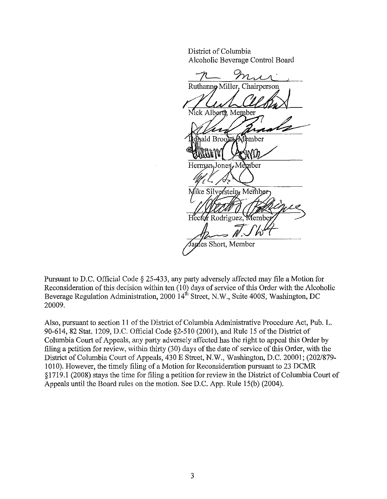District of Columbia Alcoholic Beverage Control Board

Ruthanne Miller. Chairperson ck Alberti, Member ald Broo Member Herman Jones. Member Mike Silverstein, Member Hector Rodriguez, Member aples Short, Member

Pursuant to D.C. Official Code § 25-433, any party adversely affected may file a Motion for Reconsideration of this decision within ten (10) days of service of this Order with the Alcoholic Beverage Regulation Administration, 2000  $14<sup>th</sup>$  Street, N.W., Suite 400S, Washington, DC 20009.

Also, pursuant to section **II** of the District of Columbia Administrative Procedure Act, Pub. L. 90-614,82 Stat. 1209, D.C. Official Code §2-510 (2001), and Rule 15 of the District of Columbia Court of Appeals, any party adversely affected has the right to appeal this Order by filing a petition for review, within thirty (30) days of the date of service of this Order, with the District of Columbia Court of Appeals, 430 E Street, N.W., Washington, D.C. 20001; (202/879- 1010). However, the timely filing of a Motion for Reconsideration pursuant to 23 DCMR § 1719.1 (2008) stays the time for filing a petition for review in the District of Columbia Court of Appeals until the Board rules on the motion. See D.C. App. Rule 15(b) (2004).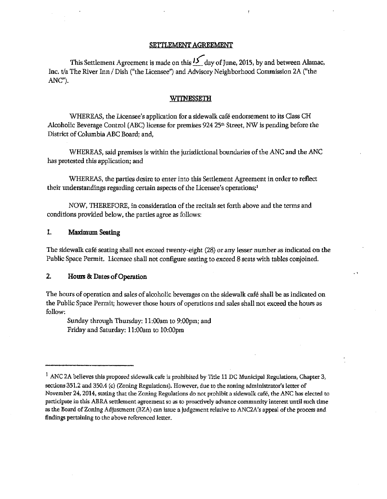#### SETTLEMENT AGREEMENT

This Settlement Agreement is made on this  $15$  day of June, 2015, by and between Alamac, Inc. t/a The River Inn / Dish ("the Licensee") and Advisory Neighborhood Commission 2A ("the ANC").

#### Wl1'NESSETH

WHEREAS, the Licensee's application for a sidewalk cafe endorsement to its Class CH Alcoholic Beverage Control (ABC) license for premises 924 25<sup>th</sup> Street, NW is pending before the District of Columbia ABC Board; and,

WHEREAS, said premises is within the jurisdictional boundaries of the ANC and the ANC has protested this application; and

WHEREAS, the parties desire to enter into this Settlement Agreement in order to reflect their understandings regarding certain aspects of the Licensee's operations;!

NOW, THEREFORE, in consideration of the recitals set forth above and the terms and conditions provided below, the parties agree as follows:

### 1. Maximum Seating

The sidewalk cafe seating shall not exceed twenty-eight (28) or any lesser number as indicated on the Public Space Permit. Licensee shall not configure seating to exceed 8 seats with tables conjoined.

. ,

#### 2. Hours & Dates of Operation

The hours of operation and sales of alcoholic beverages on the sidewalk cafe shall be as indicated on the Public Space Permit; however those hours of operations and sales shall not exceed the hours as follow:

Sunday through Thursday: II :OOam to 9:00pm; and Friday and Saturday: II :OOam to IO:OOpm

<sup>&</sup>lt;sup>1</sup> ANC 2A believes this proposed sidewalk cafe is prohibited by Title 11 DC Municipal Regulations, Chapter 3, sections 351.2 and 350.4 (c) (Zoning Regulations). However, due to the zoning administrator's letter of November 24, 2014, stating that the Zoning Regulations do not prohibit a sidewalk café, the ANC has elected to participate in this ABRA settlement agreement so as to proactively advance community interest until such time as the Board of Zoning Adjustment (BZA) can issue a judgement relative to ANC2A's appeal of the process and findings pertaining to the above referenced letter.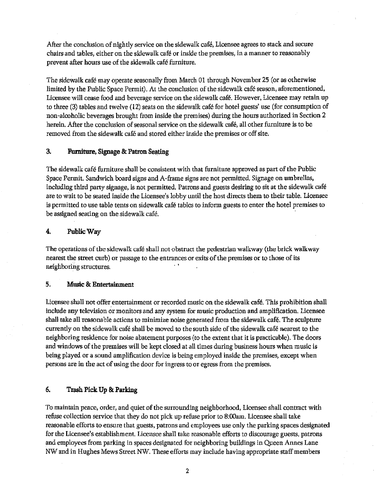After the conclusion of nightly service on the sidewalk cafe, Licensee agrees to stack and secure chairs and tables, either on the sidewalk cafe or inside the premises, in a manner to reasonably prevent after hours use of the sidewalk cafe furniture.

The sidewalk café may operate seasonally from March 01 through November 25 (or as otherwise limited by the Public Space Permit). At the conclusion of the sidewalk café season, aforementioned, Licensee will cease food and beverage service on the sidewalk café. However, Licensee may retain up to three (3) tables and twelve (12) seats on the sidewalk cafe for hotel guests' nse (for consumption of non-alcoholic beverages brought from inside the premises) during the hours authorized in Section 2 herein. Mter the conclusion of seasonal service on the sidewalk cafe, a1l other furniture is to be removed from the sidewalk cafe and stored either inside the premises or off site.

# 3. Furniture, Signage & Patron Seating

The sidewalk cafe furniture shall be consistent with that furniture approved as part of the Public Space Permit. Sandwich board signs and A-frame signs are not permitted. Signage on umbrellas. including third party signage. is not permitted. Patrons and guests desiring to sit at the sidewalk cafe are to wait to be seated inside the Licensee's lobby until the host directs them to their table. Licensee is permitted to use table tents on sidewalk café tables to inform guests to enter the hotel premises to be assigned seating on the sidewalk cafe.

## 4. Public Way

The operations of the sidewalk cafe shall not obstruct the pedestrian walkway (the brick walkway nearest the street curb) or passage to the entrances or exits of the premises or to those of its **lieighboring structures.** ' .

#### 5. Music &: Entertainment

Licensee shall not offer entertainment or recorded music on the sidewalk cafe. This prohibition shall include any television or monitors and any system for music production and amplification. Licensee shall take all reasonable actions to minimize noise generated from the sidewalk cafe. The sculpture currently on the sidewalk cafe shall be moved to the south side of the sidewalk cafe nearest to the neighboring residence for noise abatement purposes (to the extent that it is practicable). The doors and windows of the premises will be kept closed at all times during business hours when music is being played or a sound amplification device is being employed inside the premises, except when persons are in the act of using the door for ingress to or egress from the premises.

## 6. Trash Pick Up &; Parking

To maintain peace, order, and quiet of the surrounding neighborhood, Licensee shall contract with refuse collection service that they do not pick up refuse prior to 8:00am. Licensee shall take reasonable efforts to ensure that guests, patrons and employees use only the parking spaces designated for the Licensee's establishment. Licensee shall take reasonable efforts to discourage guests, patrons and employees from parking in spaces designated for neighboring buildings in Queen Annes Lane NW and in Hughes Mews Street NW. These efforts may include having appropriate staff members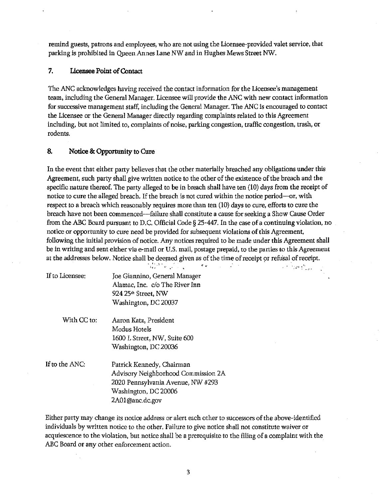remind guests, patrons and employees, who are not using the Licensee-provided valet service, that parking is prohibited in Queen Annes Lane NW and in Hughes Mews Street NW.

#### 7. Licensee Point of Contact

The ANC acknowledges having received the contact information for the Licensee's management team, including the General Manager. Licensee will provide the ANC with new contact information for successive management staff, including the General Manager. The ANC is encouraged to contact the Licensee or the General Manager directly regarding complaints related to this Agreement including, but not limited to, complaints of noise, parking congestion, traffic congestion, trash, or rodents.

## 8. Notice & Opportunity to Cure

In the event that either party believes that the other materially breached any obligations under this Agreement, such party shall give written notice to the other of the existence of the breach and the specific nature thereof. The party alleged to be in breach shall have ten (10) days from the receipt of notice to cure the alleged breach. If the breach is not cured within the notice period-or, with respect to a breach which reasonably requires more than ten (10) days to cure, efforts to cure the breach have not been commenced-failure shall constitute a cause for seeking a Show Cause Order from the ABC Board pursuant to D.C. Official Code § 25-447. In the case of a continuing violation, no notice or opportunity to cure need be provided for subsequent violations of this Agreement, following the initial provision of notice. Any notices required to be made under this Agreement shall be in writing and sent either via e-mail or U.S. mail, postage prepaid, to the parties to this Agreement at the addresses below. Notice shall be deemed given as of the time of receipt or refusal of receipt.

 $\label{eq:2} \mathcal{L}^{(n)} = \frac{1}{2} \mathcal{L}^{(n)} \mathcal{L}^{(n)}$ 

|                 | ndian Luis Tu                       |  |
|-----------------|-------------------------------------|--|
| If to Licensee: | Joe Giannino, General Manager       |  |
|                 | Alamac, Inc. c/o The River Inn      |  |
|                 | 924 25 <sup>th</sup> Street, NW     |  |
|                 | Washington, DC 20037                |  |
| With CC to:     | Aaron Katz, President               |  |
|                 | Modus Hotels                        |  |
|                 | 1600 L Street, NW, Suite 600        |  |
|                 | Washington, DC 20036                |  |
| If to the ANC:  | Patrick Kennedy, Chairman           |  |
|                 | Advisory Neighborhood Commission 2A |  |
|                 | 2020 Pennsylvania Avenue, NW #293   |  |
|                 | Washington, DC 20006                |  |
|                 | 2A01@anc.dc.gov                     |  |

Either party may change its notice address or alert each other to successors of the above-identified individuals by written notice to the other. Failure to give notice shall not constitute waiver or acquiescenoe to the violation, but notice shall be a prerequisite to the filing of a complaint with the ABC Board or any other enforcement action.